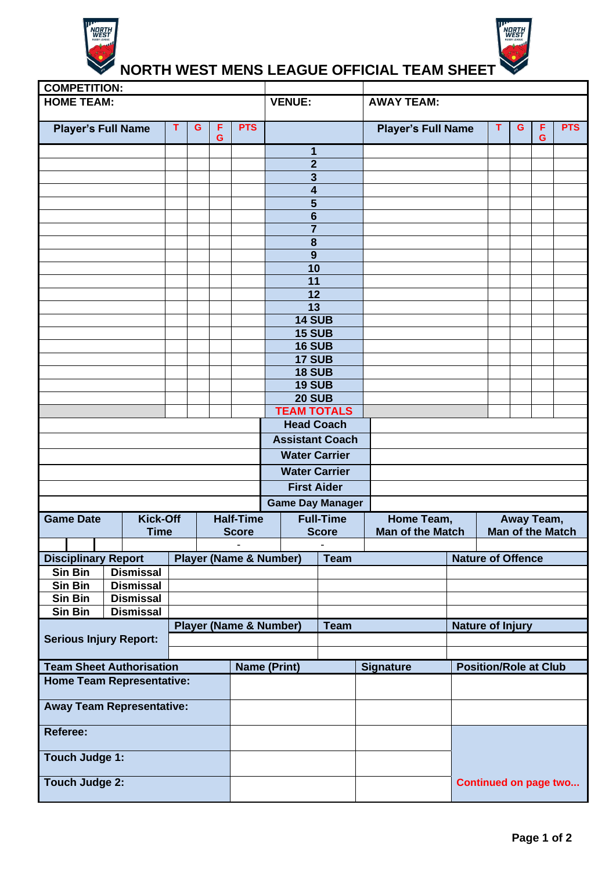



## **NORTH WEST MENS LEAGUE OFFICIAL TEAM SHEET**

| <b>COMPETITION:</b>                 |                  |   |                  |   |            |                                     |                         |  |                           |                              |                          |   |   |            |
|-------------------------------------|------------------|---|------------------|---|------------|-------------------------------------|-------------------------|--|---------------------------|------------------------------|--------------------------|---|---|------------|
| <b>HOME TEAM:</b>                   |                  |   |                  |   |            | <b>VENUE:</b>                       |                         |  | <b>AWAY TEAM:</b>         |                              |                          |   |   |            |
|                                     |                  |   |                  |   |            | T                                   |                         |  |                           |                              |                          |   |   |            |
| <b>Player's Full Name</b>           |                  | T | G<br>F           |   | <b>PTS</b> |                                     |                         |  | <b>Player's Full Name</b> |                              |                          | G | F | <b>PTS</b> |
|                                     |                  |   |                  | G |            |                                     |                         |  |                           |                              |                          |   | G |            |
|                                     |                  |   |                  |   |            |                                     | 1<br>$\overline{2}$     |  |                           |                              |                          |   |   |            |
|                                     |                  |   |                  |   |            | 3                                   |                         |  |                           |                              |                          |   |   |            |
|                                     |                  |   |                  |   |            |                                     | 4                       |  |                           |                              |                          |   |   |            |
|                                     |                  |   |                  |   |            | 5                                   |                         |  |                           |                              |                          |   |   |            |
|                                     |                  |   |                  |   |            | 6                                   |                         |  |                           |                              |                          |   |   |            |
|                                     |                  |   |                  |   |            | $\overline{7}$                      |                         |  |                           |                              |                          |   |   |            |
|                                     |                  |   |                  |   |            | 8                                   |                         |  |                           |                              |                          |   |   |            |
|                                     |                  |   |                  |   |            | 9                                   |                         |  |                           |                              |                          |   |   |            |
|                                     |                  |   |                  |   |            | 10                                  |                         |  |                           |                              |                          |   |   |            |
|                                     |                  |   |                  |   |            | $\overline{11}$                     |                         |  |                           |                              |                          |   |   |            |
|                                     |                  |   |                  |   |            | 12                                  |                         |  |                           |                              |                          |   |   |            |
|                                     |                  |   |                  |   |            | $\overline{13}$                     |                         |  |                           |                              |                          |   |   |            |
|                                     |                  |   |                  |   |            |                                     | <b>14 SUB</b>           |  |                           |                              |                          |   |   |            |
|                                     |                  |   |                  |   |            |                                     | <b>15 SUB</b>           |  |                           |                              |                          |   |   |            |
|                                     |                  |   |                  |   |            |                                     | 16 SUB                  |  |                           |                              |                          |   |   |            |
|                                     |                  |   |                  |   |            |                                     | 17 SUB<br><b>18 SUB</b> |  |                           |                              |                          |   |   |            |
|                                     |                  |   |                  |   |            |                                     | <b>19 SUB</b>           |  |                           |                              |                          |   |   |            |
|                                     |                  |   |                  |   |            |                                     |                         |  |                           |                              |                          |   |   |            |
|                                     |                  |   |                  |   |            | <b>20 SUB</b><br><b>TEAM TOTALS</b> |                         |  |                           |                              |                          |   |   |            |
|                                     |                  |   |                  |   |            |                                     | <b>Head Coach</b>       |  |                           |                              |                          |   |   |            |
|                                     |                  |   |                  |   |            | <b>Assistant Coach</b>              |                         |  |                           |                              |                          |   |   |            |
|                                     |                  |   |                  |   |            | <b>Water Carrier</b>                |                         |  |                           |                              |                          |   |   |            |
|                                     |                  |   |                  |   |            |                                     |                         |  |                           |                              |                          |   |   |            |
|                                     |                  |   |                  |   |            | <b>Water Carrier</b>                |                         |  |                           |                              |                          |   |   |            |
|                                     |                  |   |                  |   |            |                                     | <b>First Aider</b>      |  |                           |                              |                          |   |   |            |
|                                     |                  |   |                  |   |            |                                     | <b>Game Day Manager</b> |  |                           |                              |                          |   |   |            |
| <b>Game Date</b><br><b>Kick-Off</b> |                  |   | <b>Half-Time</b> |   |            | <b>Full-Time</b>                    |                         |  | Home Team,                |                              | Away Team,               |   |   |            |
| <b>Time</b>                         |                  |   | <b>Score</b>     |   |            | <b>Score</b>                        |                         |  | <b>Man of the Match</b>   | <b>Man of the Match</b>      |                          |   |   |            |
|                                     |                  |   |                  |   |            |                                     |                         |  |                           |                              |                          |   |   |            |
| <b>Disciplinary Report</b>          |                  |   |                  |   |            | <b>Player (Name &amp; Number)</b>   | <b>Team</b>             |  |                           |                              | <b>Nature of Offence</b> |   |   |            |
| Sin Bin                             | <b>Dismissal</b> |   |                  |   |            |                                     |                         |  |                           |                              |                          |   |   |            |
| Sin Bin                             | <b>Dismissal</b> |   |                  |   |            |                                     |                         |  |                           |                              |                          |   |   |            |
| Sin Bin                             | <b>Dismissal</b> |   |                  |   |            |                                     |                         |  |                           |                              |                          |   |   |            |
| Sin Bin                             | <b>Dismissal</b> |   |                  |   |            |                                     |                         |  |                           |                              |                          |   |   |            |
|                                     |                  |   |                  |   |            | <b>Player (Name &amp; Number)</b>   | <b>Team</b>             |  |                           |                              | <b>Nature of Injury</b>  |   |   |            |
| <b>Serious Injury Report:</b>       |                  |   |                  |   |            |                                     |                         |  |                           |                              |                          |   |   |            |
|                                     |                  |   |                  |   |            |                                     |                         |  |                           |                              |                          |   |   |            |
| <b>Team Sheet Authorisation</b>     |                  |   |                  |   |            | <b>Name (Print)</b>                 |                         |  | <b>Signature</b>          | <b>Position/Role at Club</b> |                          |   |   |            |
| <b>Home Team Representative:</b>    |                  |   |                  |   |            |                                     |                         |  |                           |                              |                          |   |   |            |
| <b>Away Team Representative:</b>    |                  |   |                  |   |            |                                     |                         |  |                           |                              |                          |   |   |            |
| <b>Referee:</b>                     |                  |   |                  |   |            |                                     |                         |  |                           |                              |                          |   |   |            |
| <b>Touch Judge 1:</b>               |                  |   |                  |   |            |                                     |                         |  |                           |                              |                          |   |   |            |
| <b>Touch Judge 2:</b>               |                  |   |                  |   |            |                                     |                         |  |                           | <b>Continued on page two</b> |                          |   |   |            |
|                                     |                  |   |                  |   |            |                                     |                         |  |                           |                              |                          |   |   |            |